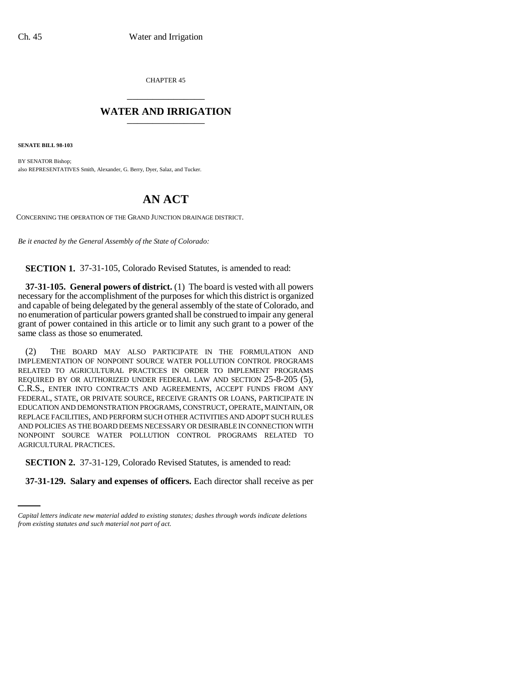CHAPTER 45 \_\_\_\_\_\_\_\_\_\_\_\_\_\_\_

## **WATER AND IRRIGATION** \_\_\_\_\_\_\_\_\_\_\_\_\_\_\_

**SENATE BILL 98-103**

BY SENATOR Bishop; also REPRESENTATIVES Smith, Alexander, G. Berry, Dyer, Salaz, and Tucker.

## **AN ACT**

CONCERNING THE OPERATION OF THE GRAND JUNCTION DRAINAGE DISTRICT.

*Be it enacted by the General Assembly of the State of Colorado:*

**SECTION 1.** 37-31-105, Colorado Revised Statutes, is amended to read:

**37-31-105. General powers of district.** (1) The board is vested with all powers necessary for the accomplishment of the purposes for which this district is organized and capable of being delegated by the general assembly of the state of Colorado, and no enumeration of particular powers granted shall be construed to impair any general grant of power contained in this article or to limit any such grant to a power of the same class as those so enumerated.

(2) THE BOARD MAY ALSO PARTICIPATE IN THE FORMULATION AND IMPLEMENTATION OF NONPOINT SOURCE WATER POLLUTION CONTROL PROGRAMS RELATED TO AGRICULTURAL PRACTICES IN ORDER TO IMPLEMENT PROGRAMS REQUIRED BY OR AUTHORIZED UNDER FEDERAL LAW AND SECTION 25-8-205 (5), C.R.S., ENTER INTO CONTRACTS AND AGREEMENTS, ACCEPT FUNDS FROM ANY FEDERAL, STATE, OR PRIVATE SOURCE, RECEIVE GRANTS OR LOANS, PARTICIPATE IN EDUCATION AND DEMONSTRATION PROGRAMS, CONSTRUCT, OPERATE, MAINTAIN, OR REPLACE FACILITIES, AND PERFORM SUCH OTHER ACTIVITIES AND ADOPT SUCH RULES AND POLICIES AS THE BOARD DEEMS NECESSARY OR DESIRABLE IN CONNECTION WITH NONPOINT SOURCE WATER POLLUTION CONTROL PROGRAMS RELATED TO AGRICULTURAL PRACTICES.

 **SECTION 2.** 37-31-129, Colorado Revised Statutes, is amended to read:

**37-31-129. Salary and expenses of officers.** Each director shall receive as per

*Capital letters indicate new material added to existing statutes; dashes through words indicate deletions from existing statutes and such material not part of act.*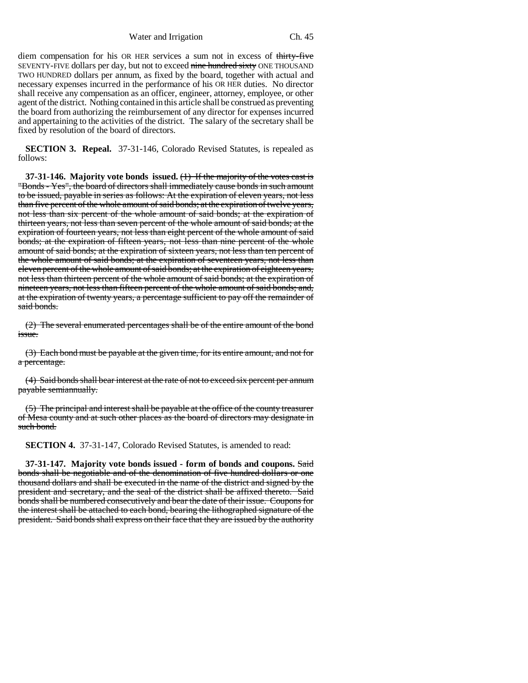Water and Irrigation Ch. 45

diem compensation for his OR HER services a sum not in excess of thirty-five SEVENTY-FIVE dollars per day, but not to exceed nine hundred sixty ONE THOUSAND TWO HUNDRED dollars per annum, as fixed by the board, together with actual and necessary expenses incurred in the performance of his OR HER duties. No director shall receive any compensation as an officer, engineer, attorney, employee, or other agent of the district. Nothing contained in this article shall be construed as preventing the board from authorizing the reimbursement of any director for expenses incurred and appertaining to the activities of the district. The salary of the secretary shall be fixed by resolution of the board of directors.

**SECTION 3. Repeal.** 37-31-146, Colorado Revised Statutes, is repealed as follows:

**37-31-146. Majority vote bonds issued.** (1) If the majority of the votes cast is "Bonds - Yes", the board of directors shall immediately cause bonds in such amount to be issued, payable in series as follows: At the expiration of eleven years, not less than five percent of the whole amount of said bonds; at the expiration of twelve years, not less than six percent of the whole amount of said bonds; at the expiration of thirteen years, not less than seven percent of the whole amount of said bonds; at the expiration of fourteen years, not less than eight percent of the whole amount of said bonds; at the expiration of fifteen years, not less than nine percent of the whole amount of said bonds; at the expiration of sixteen years, not less than ten percent of the whole amount of said bonds; at the expiration of seventeen years, not less than eleven percent of the whole amount of said bonds; at the expiration of eighteen years, not less than thirteen percent of the whole amount of said bonds; at the expiration of nineteen years, not less than fifteen percent of the whole amount of said bonds; and, at the expiration of twenty years, a percentage sufficient to pay off the remainder of said bonds.

(2) The several enumerated percentages shall be of the entire amount of the bond <u>issue</u>.

(3) Each bond must be payable at the given time, for its entire amount, and not for a percentage.

(4) Said bonds shall bear interest at the rate of not to exceed six percent per annum payable semiannually.

(5) The principal and interest shall be payable at the office of the county treasurer of Mesa county and at such other places as the board of directors may designate in such bond.

**SECTION 4.** 37-31-147, Colorado Revised Statutes, is amended to read:

**37-31-147. Majority vote bonds issued - form of bonds and coupons.** Said bonds shall be negotiable and of the denomination of five hundred dollars or one thousand dollars and shall be executed in the name of the district and signed by the president and secretary, and the seal of the district shall be affixed thereto. Said bonds shall be numbered consecutively and bear the date of their issue. Coupons for the interest shall be attached to each bond, bearing the lithographed signature of the president. Said bonds shall express on their face that they are issued by the authority